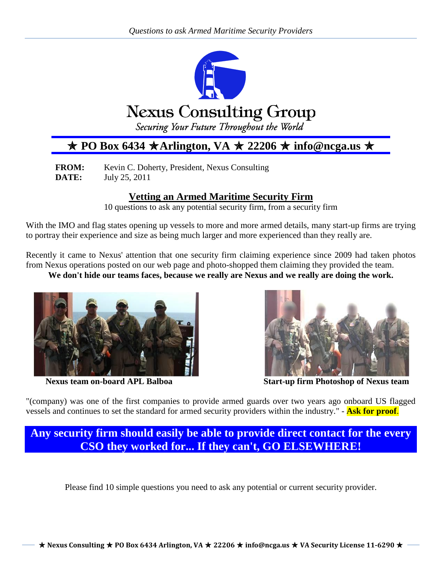

# $\star$  PO Box 6434  $\star$  Arlington, VA  $\star$  22206  $\star$  info@ncga.us  $\star$

**FROM:** Kevin C. Doherty, President, Nexus Consulting **DATE:** July 25, 2011

# **Vetting an Armed Maritime Security Firm**

10 questions to ask any potential security firm, from a security firm

With the IMO and flag states opening up vessels to more and more armed details, many start-up firms are trying to portray their experience and size as being much larger and more experienced than they really are.

Recently it came to Nexus' attention that one security firm claiming experience since 2009 had taken photos from Nexus operations posted on our web page and photo-shopped them claiming they provided the team.

**We don't hide our teams faces, because we really are Nexus and we really are doing the work.**





**Nexus team on-board APL Balboa Start-up firm Photoshop of Nexus team**

"(company) was one of the first companies to provide armed guards over two years ago onboard US flagged vessels and continues to set the standard for armed security providers within the industry." - **Ask for proof**.

**Any security firm should easily be able to provide direct contact for the every CSO they worked for... If they can't, GO ELSEWHERE!**

Please find 10 simple questions you need to ask any potential or current security provider.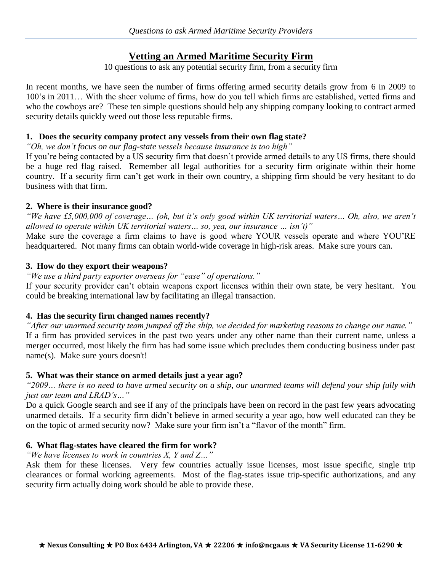# **Vetting an Armed Maritime Security Firm**

10 questions to ask any potential security firm, from a security firm

In recent months, we have seen the number of firms offering armed security details grow from 6 in 2009 to 100's in 2011… With the sheer volume of firms, how do you tell which firms are established, vetted firms and who the cowboys are? These ten simple questions should help any shipping company looking to contract armed security details quickly weed out those less reputable firms.

#### **1. Does the security company protect any vessels from their own flag state?**

*"Oh, we don't focus on our flag-state vessels because insurance is too high"*

If you're being contacted by a US security firm that doesn't provide armed details to any US firms, there should be a huge red flag raised. Remember all legal authorities for a security firm originate within their home country. If a security firm can't get work in their own country, a shipping firm should be very hesitant to do business with that firm.

#### **2. Where is their insurance good?**

*"We have £5,000,000 of coverage… (oh, but it's only good within UK territorial waters… Oh, also, we aren't allowed to operate within UK territorial waters… so, yea, our insurance … isn't)"*

Make sure the coverage a firm claims to have is good where YOUR vessels operate and where YOU'RE headquartered. Not many firms can obtain world-wide coverage in high-risk areas. Make sure yours can.

# **3. How do they export their weapons?**

*"We use a third party exporter overseas for "ease" of operations."*

If your security provider can't obtain weapons export licenses within their own state, be very hesitant. You could be breaking international law by facilitating an illegal transaction.

# **4. Has the security firm changed names recently?**

*"After our unarmed security team jumped off the ship, we decided for marketing reasons to change our name."* If a firm has provided services in the past two years under any other name than their current name, unless a merger occurred, most likely the firm has had some issue which precludes them conducting business under past name(s). Make sure yours doesn't!

# **5. What was their stance on armed details just a year ago?**

*"2009… there is no need to have armed security on a ship, our unarmed teams will defend your ship fully with just our team and LRAD's…"*

Do a quick Google search and see if any of the principals have been on record in the past few years advocating unarmed details. If a security firm didn't believe in armed security a year ago, how well educated can they be on the topic of armed security now? Make sure your firm isn't a "flavor of the month" firm.

# **6. What flag-states have cleared the firm for work?**

# *"We have licenses to work in countries X, Y and Z…"*

Ask them for these licenses. Very few countries actually issue licenses, most issue specific, single trip clearances or formal working agreements. Most of the flag-states issue trip-specific authorizations, and any security firm actually doing work should be able to provide these.